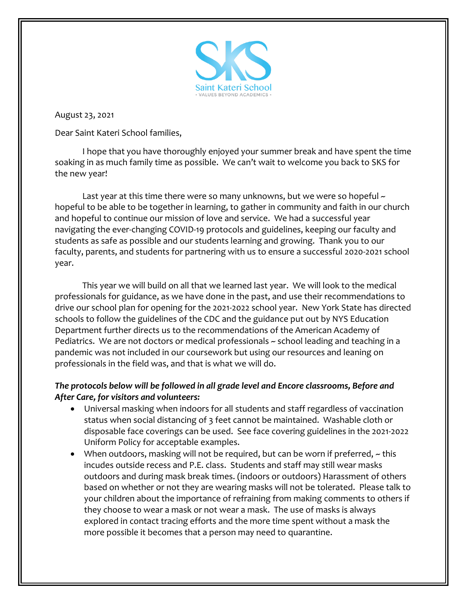

August 23, 2021

Dear Saint Kateri School families,

I hope that you have thoroughly enjoyed your summer break and have spent the time soaking in as much family time as possible. We can't wait to welcome you back to SKS for the new year!

Last year at this time there were so many unknowns, but we were so hopeful  $\sim$ hopeful to be able to be together in learning, to gather in community and faith in our church and hopeful to continue our mission of love and service. We had a successful year navigating the ever-changing COVID-19 protocols and guidelines, keeping our faculty and students as safe as possible and our students learning and growing. Thank you to our faculty, parents, and students for partnering with us to ensure a successful 2020-2021 school year.

This year we will build on all that we learned last year. We will look to the medical professionals for guidance, as we have done in the past, and use their recommendations to drive our school plan for opening for the 2021-2022 school year. New York State has directed schools to follow the guidelines of the CDC and the guidance put out by NYS Education Department further directs us to the recommendations of the American Academy of Pediatrics. We are not doctors or medical professionals ~ school leading and teaching in a pandemic was not included in our coursework but using our resources and leaning on professionals in the field was, and that is what we will do.

## *The protocols below will be followed in all grade level and Encore classrooms, Before and After Care, for visitors and volunteers:*

- Universal masking when indoors for all students and staff regardless of vaccination status when social distancing of 3 feet cannot be maintained. Washable cloth or disposable face coverings can be used. See face covering guidelines in the 2021-2022 Uniform Policy for acceptable examples.
- When outdoors, masking will not be required, but can be worn if preferred,  $\sim$  this incudes outside recess and P.E. class. Students and staff may still wear masks outdoors and during mask break times. (indoors or outdoors) Harassment of others based on whether or not they are wearing masks will not be tolerated. Please talk to your children about the importance of refraining from making comments to others if they choose to wear a mask or not wear a mask. The use of masks is always explored in contact tracing efforts and the more time spent without a mask the more possible it becomes that a person may need to quarantine.